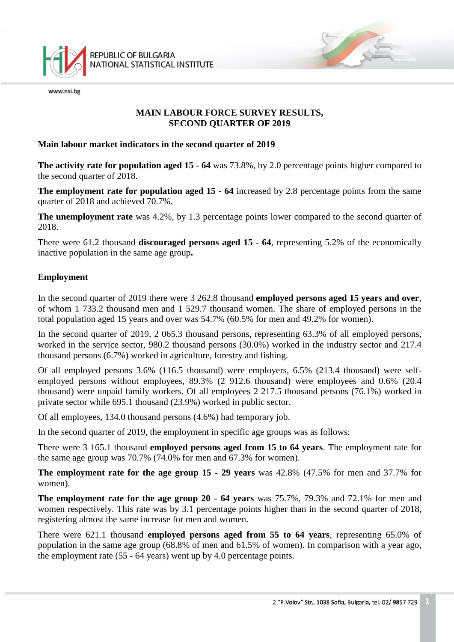

www.nsi.be

## **MAIN LABOUR FORCE SURVEY RESULTS, SECOND QUARTER OF 2019**

#### **Main labour market indicators in the second quarter of 2019**

**The activity rate for population aged 15 - 64** was 73.8%, by 2.0 percentage points higher compared to the second quarter of 2018.

**The employment rate for population aged 15 - 64** increased by 2.8 percentage points from the same quarter of 2018 and achieved 70.7%.

**The unemployment rate** was 4.2%, by 1.3 percentage points lower compared to the second quarter of 2018.

There were 61.2 thousand **discouraged persons aged 15 - 64**, representing 5.2% of the economically inactive population in the same age group**.** 

### **Employment**

In the second quarter of 2019 there were 3 262.8 thousand **employed persons aged 15 years and over**, of whom 1 733.2 thousand men and 1 529.7 thousand women. The share of employed persons in the total population aged 15 years and over was 54.7% (60.5% for men and 49.2% for women).

In the second quarter of 2019, 2 065.3 thousand persons, representing 63.3% of all employed persons, worked in the service sector, 980.2 thousand persons (30.0%) worked in the industry sector and 217.4 thousand persons (6.7%) worked in agriculture, forestry and fishing.

Of all employed persons 3.6% (116.5 thousand) were employers, 6.5% (213.4 thousand) were selfemployed persons without employees, 89.3% (2 912.6 thousand) were employees and 0.6% (20.4 thousand) were unpaid family workers. Of all employees 2 217.5 thousand persons (76.1%) worked in private sector while 695.1 thousand (23.9%) worked in public sector.

Of all employees, 134.0 thousand persons (4.6%) had temporary job.

In the second quarter of 2019, the employment in specific age groups was as follows:

There were 3 165.1 thousand **employed persons aged from 15 to 64 years**. The employment rate for the same age group was 70.7% (74.0% for men and 67.3% for women).

**The employment rate for the age group 15 - 29 years** was 42.8% (47.5% for men and 37.7% for women).

**The employment rate for the age group 20 - 64 years** was 75.7%, 79.3% and 72.1% for men and women respectively. This rate was by 3.1 percentage points higher than in the second quarter of 2018, registering almost the same increase for men and women.

There were 621.1 thousand **employed persons aged from 55 to 64 years**, representing 65.0% of population in the same age group (68.8% of men and 61.5% of women). In comparison with a year ago, the employment rate (55 - 64 years) went up by 4.0 percentage points.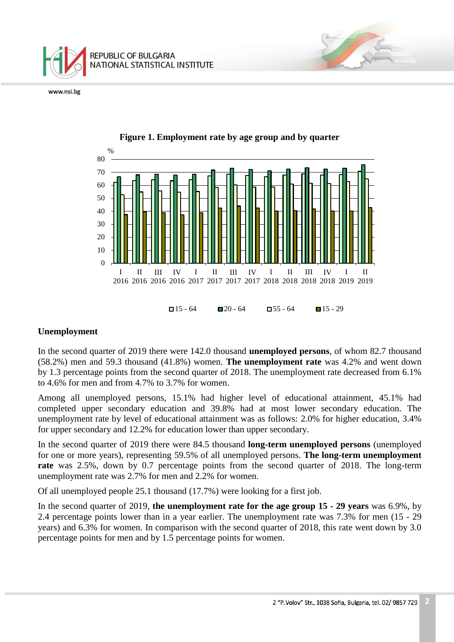





## **Unemployment**

In the second quarter of 2019 there were 142.0 thousand **unemployed persons**, of whom 82.7 thousand (58.2%) men and 59.3 thousand (41.8%) women. **The unemployment rate** was 4.2% and went down by 1.3 percentage points from the second quarter of 2018. The unemployment rate decreased from 6.1% to 4.6% for men and from 4.7% to 3.7% for women.

Among all unemployed persons, 15.1% had higher level of educational attainment, 45.1% had completed upper secondary education and 39.8% had at most lower secondary education. The unemployment rate by level of educational attainment was as follows: 2.0% for higher education, 3.4% for upper secondary and 12.2% for education lower than upper secondary.

In the second quarter of 2019 there were 84.5 thousand **long-term unemployed persons** (unemployed for one or more years), representing 59.5% of all unemployed persons. **The long-term unemployment rate** was 2.5%, down by 0.7 percentage points from the second quarter of 2018. The long-term unemployment rate was 2.7% for men and 2.2% for women.

Of all unemployed people 25.1 thousand (17.7%) were looking for a first job.

In the second quarter of 2019, **the unemployment rate for the age group 15 - 29 years** was 6.9%, by 2.4 percentage points lower than in a year earlier. The unemployment rate was 7.3% for men (15 - 29 years) and 6.3% for women. In comparison with the second quarter of 2018, this rate went down by 3.0 percentage points for men and by 1.5 percentage points for women.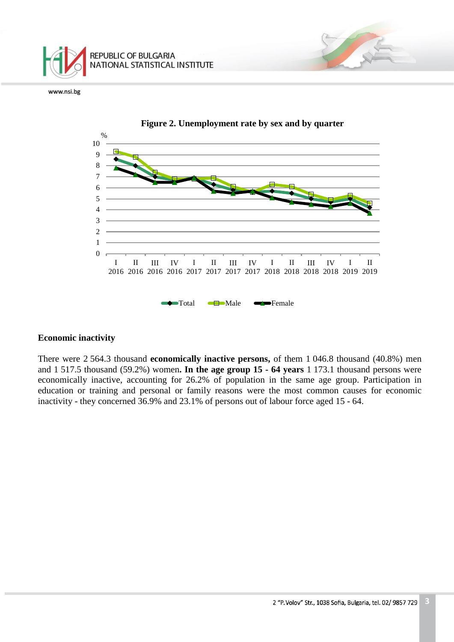



#### **Economic inactivity**

There were 2 564.3 thousand **economically inactive persons,** of them 1 046.8 thousand (40.8%) men and 1 517.5 thousand (59.2%) women**. In the age group 15 - 64 years** 1 173.1 thousand persons were economically inactive, accounting for 26.2% of population in the same age group. Participation in education or training and personal or family reasons were the most common causes for economic inactivity - they concerned 36.9% and 23.1% of persons out of labour force aged 15 - 64.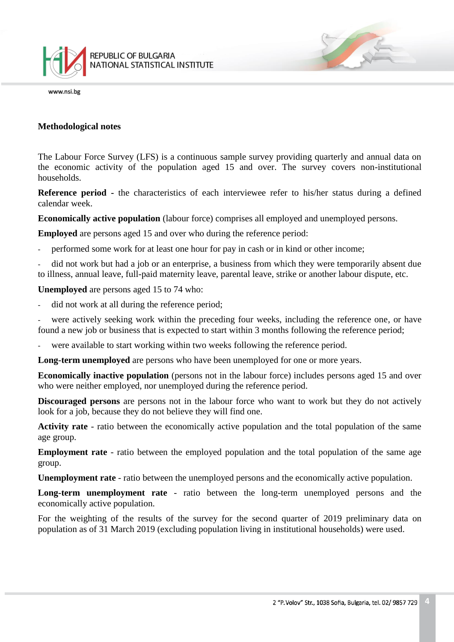

#### **Methodological notes**

The Labour Force Survey (LFS) is a continuous sample survey providing quarterly and annual data on the economic activity of the population aged 15 and over. The survey covers non-institutional households.

**Reference period -** the characteristics of each interviewee refer to his/her status during a defined calendar week.

**Economically active population** (labour force) comprises all employed and unemployed persons.

**Employed** are persons aged 15 and over who during the reference period:

performed some work for at least one hour for pay in cash or in kind or other income;

did not work but had a job or an enterprise, a business from which they were temporarily absent due to illness, annual leave, full-paid maternity leave, parental leave, strike or another labour dispute, etc.

**Unemployed** are persons aged 15 to 74 who:

did not work at all during the reference period;

were actively seeking work within the preceding four weeks, including the reference one, or have found a new job or business that is expected to start within 3 months following the reference period;

were available to start working within two weeks following the reference period.

**Long-term unemployed** are persons who have been unemployed for one or more years.

**Economically inactive population** (persons not in the labour force) includes persons aged 15 and over who were neither employed, nor unemployed during the reference period.

**Discouraged persons** are persons not in the labour force who want to work but they do not actively look for a job, because they do not believe they will find one.

**Activity rate** - ratio between the economically active population and the total population of the same age group.

**Employment rate** - ratio between the employed population and the total population of the same age group.

**Unemployment rate** - ratio between the unemployed persons and the economically active population.

**Long-term unemployment rate** - ratio between the long-term unemployed persons and the economically active population.

For the weighting of the results of the survey for the second quarter of 2019 preliminary data on population as of 31 March 2019 (excluding population living in institutional households) were used.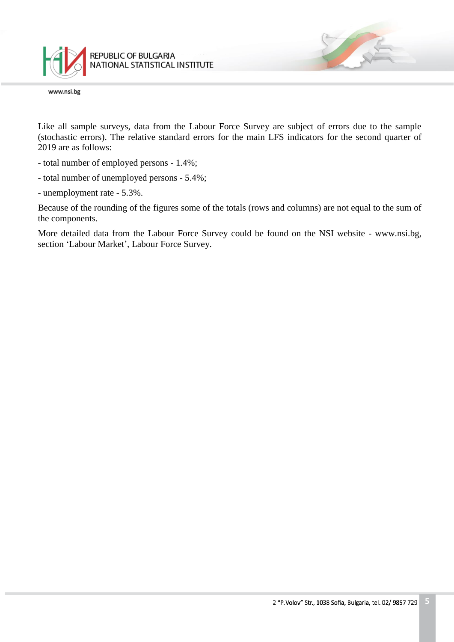

Like all sample surveys, data from the Labour Force Survey are subject of errors due to the sample (stochastic errors). The relative standard errors for the main LFS indicators for the second quarter of 2019 are as follows:

- total number of employed persons 1.4%;
- total number of unemployed persons 5.4%;
- unemployment rate 5.3%.

Because of the rounding of the figures some of the totals (rows and columns) are not equal to the sum of the components.

More detailed data from the Labour Force Survey could be found on the NSI website - www.nsi.bg, section 'Labour Market', Labour Force Survey.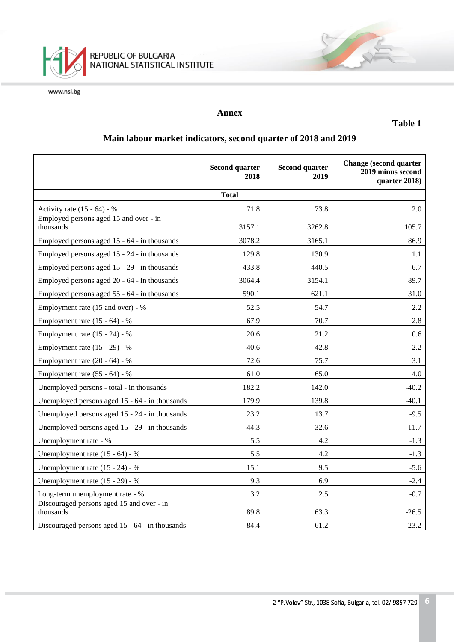

## **Annex**

**Table 1**

# **Main labour market indicators, second quarter of 2018 and 2019**

|                                                        | <b>Second quarter</b><br>2018 | <b>Second quarter</b><br>2019 | <b>Change (second quarter</b><br>2019 minus second<br>quarter 2018) |  |  |
|--------------------------------------------------------|-------------------------------|-------------------------------|---------------------------------------------------------------------|--|--|
| <b>Total</b>                                           |                               |                               |                                                                     |  |  |
| Activity rate $(15 - 64) - %$                          | 71.8                          | 73.8                          | 2.0                                                                 |  |  |
| Employed persons aged 15 and over - in<br>thousands    | 3157.1                        | 3262.8                        | 105.7                                                               |  |  |
| Employed persons aged 15 - 64 - in thousands           | 3078.2                        | 3165.1                        | 86.9                                                                |  |  |
| Employed persons aged 15 - 24 - in thousands           | 129.8                         | 130.9                         | 1.1                                                                 |  |  |
| Employed persons aged 15 - 29 - in thousands           | 433.8                         | 440.5                         | 6.7                                                                 |  |  |
| Employed persons aged 20 - 64 - in thousands           | 3064.4                        | 3154.1                        | 89.7                                                                |  |  |
| Employed persons aged 55 - 64 - in thousands           | 590.1                         | 621.1                         | 31.0                                                                |  |  |
| Employment rate (15 and over) - %                      | 52.5                          | 54.7                          | 2.2                                                                 |  |  |
| Employment rate $(15 - 64) - %$                        | 67.9                          | 70.7                          | 2.8                                                                 |  |  |
| Employment rate $(15 - 24) - %$                        | 20.6                          | 21.2                          | 0.6                                                                 |  |  |
| Employment rate (15 - 29) - %                          | 40.6                          | 42.8                          | 2.2                                                                 |  |  |
| Employment rate $(20 - 64) - %$                        | 72.6                          | 75.7                          | 3.1                                                                 |  |  |
| Employment rate $(55 - 64) - %$                        | 61.0                          | 65.0                          | 4.0                                                                 |  |  |
| Unemployed persons - total - in thousands              | 182.2                         | 142.0                         | $-40.2$                                                             |  |  |
| Unemployed persons aged 15 - 64 - in thousands         | 179.9                         | 139.8                         | $-40.1$                                                             |  |  |
| Unemployed persons aged 15 - 24 - in thousands         | 23.2                          | 13.7                          | $-9.5$                                                              |  |  |
| Unemployed persons aged 15 - 29 - in thousands         | 44.3                          | 32.6                          | $-11.7$                                                             |  |  |
| Unemployment rate - %                                  | 5.5                           | 4.2                           | $-1.3$                                                              |  |  |
| Unemployment rate $(15 - 64) - %$                      | 5.5                           | 4.2                           | $-1.3$                                                              |  |  |
| Unemployment rate $(15 - 24)$ - %                      | 15.1                          | 9.5                           | $-5.6$                                                              |  |  |
| Unemployment rate (15 - 29) - %                        | 9.3                           | 6.9                           | $-2.4$                                                              |  |  |
| Long-term unemployment rate - %                        | 3.2                           | 2.5                           | $-0.7$                                                              |  |  |
| Discouraged persons aged 15 and over - in<br>thousands | 89.8                          | 63.3                          | $-26.5$                                                             |  |  |
| Discouraged persons aged 15 - 64 - in thousands        | 84.4                          | 61.2                          | $-23.2$                                                             |  |  |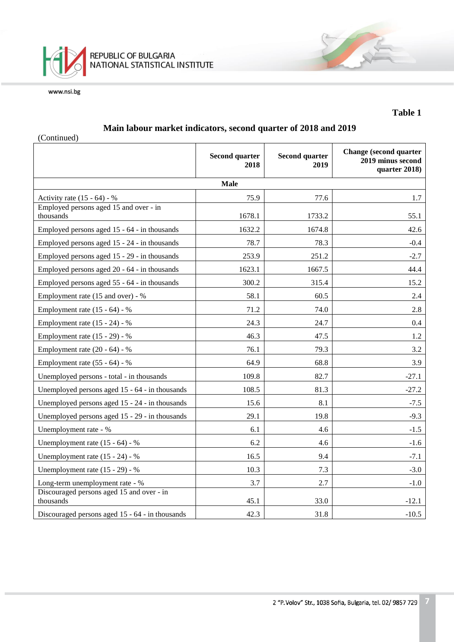

## **Table 1**

# **Main labour market indicators, second quarter of 2018 and 2019**

(Continued)

|                                                        | <b>Second quarter</b><br>2018 | <b>Second quarter</b><br>2019 | <b>Change (second quarter</b><br>2019 minus second<br>quarter 2018) |  |  |
|--------------------------------------------------------|-------------------------------|-------------------------------|---------------------------------------------------------------------|--|--|
| <b>Male</b>                                            |                               |                               |                                                                     |  |  |
| Activity rate $(15 - 64) - %$                          | 75.9                          | 77.6                          | 1.7                                                                 |  |  |
| Employed persons aged 15 and over - in<br>thousands    | 1678.1                        | 1733.2                        | 55.1                                                                |  |  |
| Employed persons aged 15 - 64 - in thousands           | 1632.2                        | 1674.8                        | 42.6                                                                |  |  |
| Employed persons aged 15 - 24 - in thousands           | 78.7                          | 78.3                          | $-0.4$                                                              |  |  |
| Employed persons aged 15 - 29 - in thousands           | 253.9                         | 251.2                         | $-2.7$                                                              |  |  |
| Employed persons aged 20 - 64 - in thousands           | 1623.1                        | 1667.5                        | 44.4                                                                |  |  |
| Employed persons aged 55 - 64 - in thousands           | 300.2                         | 315.4                         | 15.2                                                                |  |  |
| Employment rate (15 and over) - %                      | 58.1                          | 60.5                          | 2.4                                                                 |  |  |
| Employment rate $(15 - 64) - %$                        | 71.2                          | 74.0                          | 2.8                                                                 |  |  |
| Employment rate (15 - 24) - %                          | 24.3                          | 24.7                          | $0.4\,$                                                             |  |  |
| Employment rate (15 - 29) - %                          | 46.3                          | 47.5                          | 1.2                                                                 |  |  |
| Employment rate (20 - 64) - %                          | 76.1                          | 79.3                          | 3.2                                                                 |  |  |
| Employment rate (55 - 64) - %                          | 64.9                          | 68.8                          | 3.9                                                                 |  |  |
| Unemployed persons - total - in thousands              | 109.8                         | 82.7                          | $-27.1$                                                             |  |  |
| Unemployed persons aged 15 - 64 - in thousands         | 108.5                         | 81.3                          | $-27.2$                                                             |  |  |
| Unemployed persons aged 15 - 24 - in thousands         | 15.6                          | 8.1                           | $-7.5$                                                              |  |  |
| Unemployed persons aged 15 - 29 - in thousands         | 29.1                          | 19.8                          | $-9.3$                                                              |  |  |
| Unemployment rate - %                                  | 6.1                           | 4.6                           | $-1.5$                                                              |  |  |
| Unemployment rate $(15 - 64) - %$                      | 6.2                           | 4.6                           | $-1.6$                                                              |  |  |
| Unemployment rate (15 - 24) - %                        | 16.5                          | 9.4                           | $-7.1$                                                              |  |  |
| Unemployment rate (15 - 29) - %                        | 10.3                          | 7.3                           | $-3.0$                                                              |  |  |
| Long-term unemployment rate - %                        | 3.7                           | 2.7                           | $-1.0$                                                              |  |  |
| Discouraged persons aged 15 and over - in<br>thousands | 45.1                          | 33.0                          | $-12.1$                                                             |  |  |
| Discouraged persons aged 15 - 64 - in thousands        | 42.3                          | 31.8                          | $-10.5$                                                             |  |  |